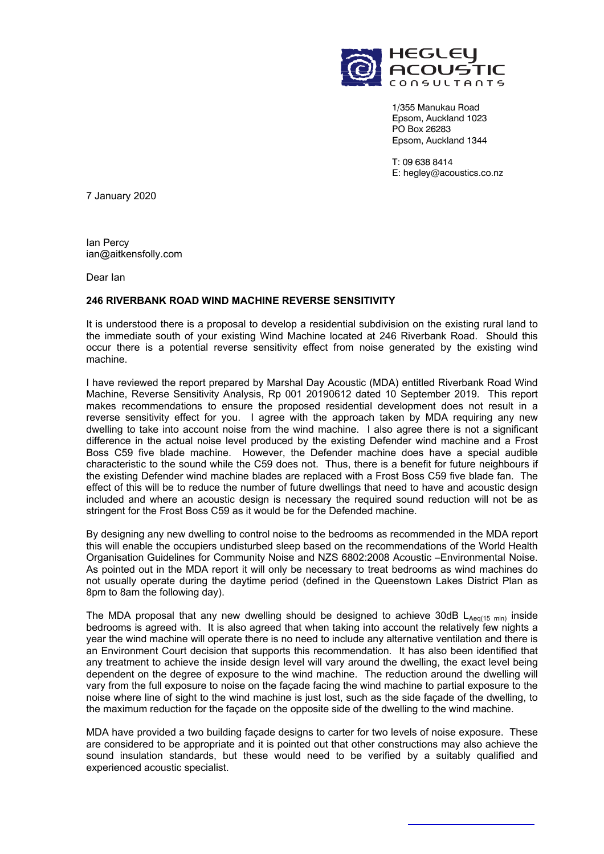

1/355 Manukau Road Epsom, Auckland 1023 PO Box 26283 Epsom, Auckland 1344

T: 09 638 8414 E: hegley@acoustics.co.nz

7 January 2020

Ian Percy ian@aitkensfolly.com

Dear Ian

## **246 RIVERBANK ROAD WIND MACHINE REVERSE SENSITIVITY**

It is understood there is a proposal to develop a residential subdivision on the existing rural land to the immediate south of your existing Wind Machine located at 246 Riverbank Road. Should this occur there is a potential reverse sensitivity effect from noise generated by the existing wind machine.

I have reviewed the report prepared by Marshal Day Acoustic (MDA) entitled Riverbank Road Wind Machine, Reverse Sensitivity Analysis, Rp 001 20190612 dated 10 September 2019. This report makes recommendations to ensure the proposed residential development does not result in a reverse sensitivity effect for you. I agree with the approach taken by MDA requiring any new dwelling to take into account noise from the wind machine. I also agree there is not a significant difference in the actual noise level produced by the existing Defender wind machine and a Frost Boss C59 five blade machine. However, the Defender machine does have a special audible characteristic to the sound while the C59 does not. Thus, there is a benefit for future neighbours if the existing Defender wind machine blades are replaced with a Frost Boss C59 five blade fan. The effect of this will be to reduce the number of future dwellings that need to have and acoustic design included and where an acoustic design is necessary the required sound reduction will not be as stringent for the Frost Boss C59 as it would be for the Defended machine.

By designing any new dwelling to control noise to the bedrooms as recommended in the MDA report this will enable the occupiers undisturbed sleep based on the recommendations of the World Health Organisation Guidelines for Community Noise and NZS 6802:2008 Acoustic –Environmental Noise. As pointed out in the MDA report it will only be necessary to treat bedrooms as wind machines do not usually operate during the daytime period (defined in the Queenstown Lakes District Plan as 8pm to 8am the following day).

The MDA proposal that any new dwelling should be designed to achieve 30dB  $L_{Aeq(15 min)}$  inside bedrooms is agreed with. It is also agreed that when taking into account the relatively few nights a year the wind machine will operate there is no need to include any alternative ventilation and there is an Environment Court decision that supports this recommendation. It has also been identified that any treatment to achieve the inside design level will vary around the dwelling, the exact level being dependent on the degree of exposure to the wind machine. The reduction around the dwelling will vary from the full exposure to noise on the façade facing the wind machine to partial exposure to the noise where line of sight to the wind machine is just lost, such as the side façade of the dwelling, to the maximum reduction for the façade on the opposite side of the dwelling to the wind machine.

MDA have provided a two building façade designs to carter for two levels of noise exposure. These are considered to be appropriate and it is pointed out that other constructions may also achieve the sound insulation standards, but these would need to be verified by a suitably qualified and experienced acoustic specialist.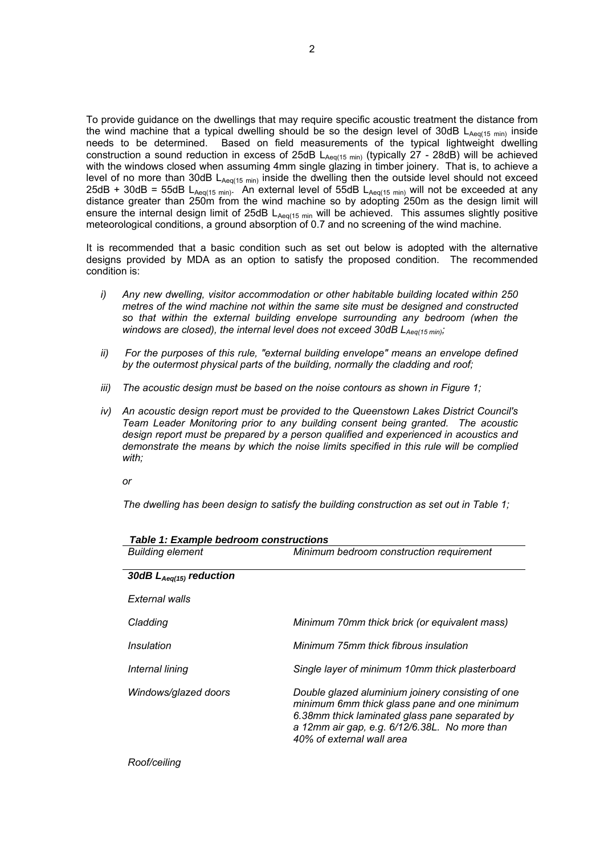To provide guidance on the dwellings that may require specific acoustic treatment the distance from the wind machine that a typical dwelling should be so the design level of 30dB  $L_{Aeq(15 min)}$  inside needs to be determined. Based on field measurements of the typical lightweight dwelling construction a sound reduction in excess of 25dB  $L_{Aeq(15 min)}$  (typically 27 - 28dB) will be achieved with the windows closed when assuming 4mm single glazing in timber joinery. That is, to achieve a level of no more than 30dB  $L_{Aeq(15 min)}$  inside the dwelling then the outside level should not exceed 25dB + 30dB = 55dB L<sub>Aeq(15 min)</sub>. An external level of 55dB L<sub>Aeq(15 min)</sub> will not be exceeded at any distance greater than 250m from the wind machine so by adopting 250m as the design limit will ensure the internal design limit of 25dB  $L_{Aeq(15 min)}$  will be achieved. This assumes slightly positive meteorological conditions, a ground absorption of 0.7 and no screening of the wind machine.

It is recommended that a basic condition such as set out below is adopted with the alternative designs provided by MDA as an option to satisfy the proposed condition. The recommended condition is:

- *i) Any new dwelling, visitor accommodation or other habitable building located within 250 metres of the wind machine not within the same site must be designed and constructed so that within the external building envelope surrounding any bedroom (when the*  windows are closed), the internal level does not exceed 30dB L<sub>Aeq(15 min)</sub>;
- *ii) For the purposes of this rule, "external building envelope" means an envelope defined by the outermost physical parts of the building, normally the cladding and roof;*
- *iii*) The acoustic design must be based on the noise contours as shown in Figure 1;
- *iv) An acoustic design report must be provided to the Queenstown Lakes District Council's Team Leader Monitoring prior to any building consent being granted. The acoustic design report must be prepared by a person qualified and experienced in acoustics and*  demonstrate the means by which the noise limits specified in this rule will be complied *with;*

*or* 

*The dwelling has been design to satisfy the building construction as set out in Table 1;* 

| <b>Building element</b>      | Minimum bedroom construction requirement                                                                                                                                                                                          |
|------------------------------|-----------------------------------------------------------------------------------------------------------------------------------------------------------------------------------------------------------------------------------|
| 30dB $L_{Aeq(15)}$ reduction |                                                                                                                                                                                                                                   |
| External walls               |                                                                                                                                                                                                                                   |
| Cladding                     | Minimum 70mm thick brick (or equivalent mass)                                                                                                                                                                                     |
| Insulation                   | Minimum 75mm thick fibrous insulation                                                                                                                                                                                             |
| Internal lining              | Single layer of minimum 10mm thick plasterboard                                                                                                                                                                                   |
| Windows/glazed doors         | Double glazed aluminium joinery consisting of one<br>minimum 6mm thick glass pane and one minimum<br>6.38mm thick laminated glass pane separated by<br>a 12mm air gap, e.g. 6/12/6.38L. No more than<br>40% of external wall area |

*Table 1: Example bedroom constructions*

*Roof/ceiling*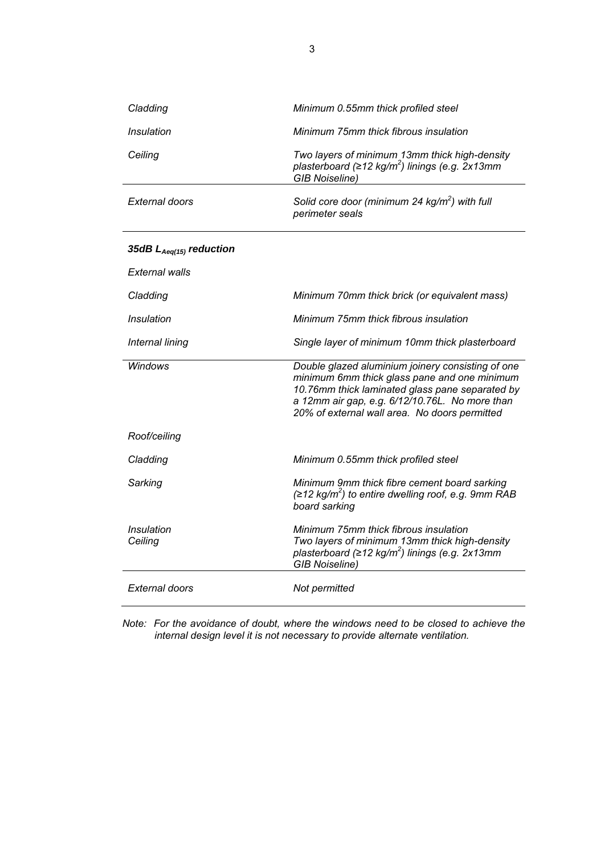| Cladding                     | Minimum 0.55mm thick profiled steel                                                                                                                                                                                                                     |
|------------------------------|---------------------------------------------------------------------------------------------------------------------------------------------------------------------------------------------------------------------------------------------------------|
| Insulation                   | Minimum 75mm thick fibrous insulation                                                                                                                                                                                                                   |
| Ceiling                      | Two layers of minimum 13mm thick high-density<br>plasterboard ( $\geq$ 12 kg/m <sup>2</sup> ) linings (e.g. 2x13mm<br><b>GIB Noiseline)</b>                                                                                                             |
| External doors               | Solid core door (minimum 24 $kg/m2$ ) with full<br>perimeter seals                                                                                                                                                                                      |
| 35dB $L_{Aeq(15)}$ reduction |                                                                                                                                                                                                                                                         |
| External walls               |                                                                                                                                                                                                                                                         |
| Cladding                     | Minimum 70mm thick brick (or equivalent mass)                                                                                                                                                                                                           |
| Insulation                   | Minimum 75mm thick fibrous insulation                                                                                                                                                                                                                   |
| Internal lining              | Single layer of minimum 10mm thick plasterboard                                                                                                                                                                                                         |
| <b>Windows</b>               | Double glazed aluminium joinery consisting of one<br>minimum 6mm thick glass pane and one minimum<br>10.76mm thick laminated glass pane separated by<br>a 12mm air gap, e.g. 6/12/10.76L. No more than<br>20% of external wall area. No doors permitted |
| Roof/ceiling                 |                                                                                                                                                                                                                                                         |
| Cladding                     | Minimum 0.55mm thick profiled steel                                                                                                                                                                                                                     |
| Sarking                      | Minimum 9mm thick fibre cement board sarking<br>$(212 \text{ kg/m}^2)$ to entire dwelling roof, e.g. 9mm RAB<br>board sarking                                                                                                                           |
| Insulation<br>Ceiling        | Minimum 75mm thick fibrous insulation<br>Two layers of minimum 13mm thick high-density<br>plasterboard ( $\geq$ 12 kg/m <sup>2</sup> ) linings (e.g. 2x13mm<br><b>GIB Noiseline)</b>                                                                    |
| External doors               | Not permitted                                                                                                                                                                                                                                           |

*Note: For the avoidance of doubt, where the windows need to be closed to achieve the internal design level it is not necessary to provide alternate ventilation.*